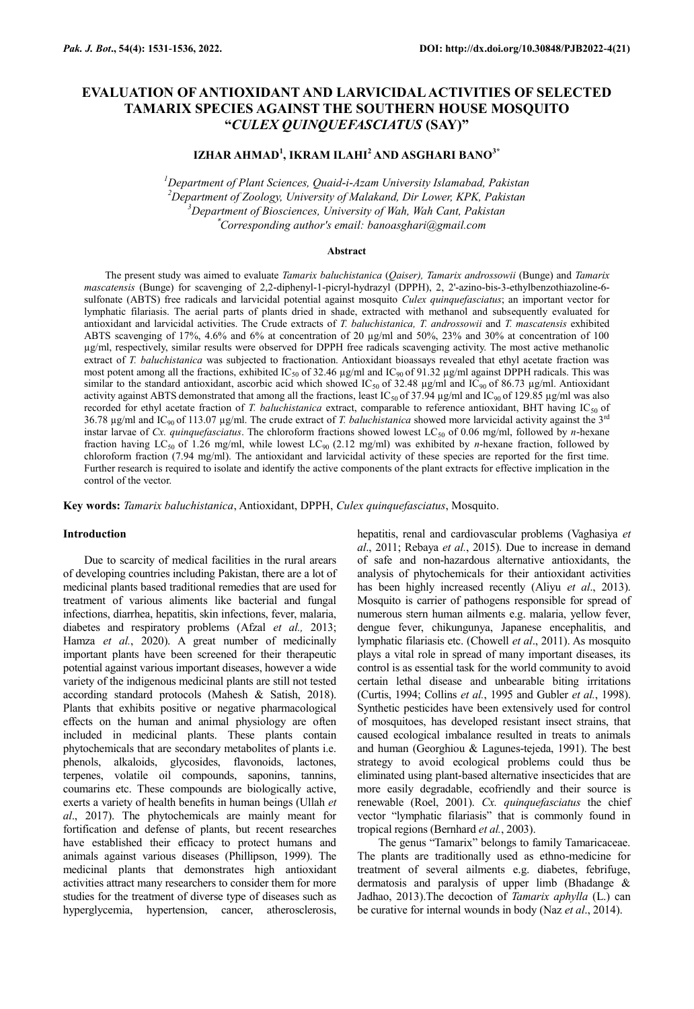# **EVALUATION OF ANTIOXIDANT AND LARVICIDAL ACTIVITIES OF SELECTED TAMARIX SPECIES AGAINST THE SOUTHERN HOUSE MOSQUITO "***CULEX QUINQUEFASCIATUS* **(SAY)"**

## **IZHAR AHMAD<sup>1</sup> , IKRAM ILAHI<sup>2</sup> AND ASGHARI BANO3\***

*Department of Plant Sciences, Quaid-i-Azam University Islamabad, Pakistan Department of Zoology, University of Malakand, Dir Lower, KPK, Pakistan Department of Biosciences, University of Wah, Wah Cant, Pakistan* \**Corresponding author's email: banoasghari@gmail.com*

#### **Abstract**

The present study was aimed to evaluate *Tamarix baluchistanica* (*Qaiser), Tamarix androssowii* (Bunge) and *Tamarix mascatensis* (Bunge) for scavenging of 2,2-diphenyl-1-picryl-hydrazyl (DPPH), 2, 2'-azino-bis-3-ethylbenzothiazoline-6 sulfonate (ABTS) free radicals and larvicidal potential against mosquito *Culex quinquefasciatus*; an important vector for lymphatic filariasis. The aerial parts of plants dried in shade, extracted with methanol and subsequently evaluated for antioxidant and larvicidal activities. The Crude extracts of *T. baluchistanica, T. androssowii* and *T. mascatensis* exhibited ABTS scavenging of 17%, 4.6% and 6% at concentration of 20 µg/ml and 50%, 23% and 30% at concentration of 100 µg/ml, respectively, similar results were observed for DPPH free radicals scavenging activity. The most active methanolic extract of *T. baluchistanica* was subjected to fractionation. Antioxidant bioassays revealed that ethyl acetate fraction was most potent among all the fractions, exhibited IC<sub>50</sub> of 32.46  $\mu$ g/ml and IC<sub>90</sub> of 91.32  $\mu$ g/ml against DPPH radicals. This was similar to the standard antioxidant, ascorbic acid which showed IC<sub>50</sub> of 32.48  $\mu$ g/ml and IC<sub>90</sub> of 86.73  $\mu$ g/ml. Antioxidant activity against ABTS demonstrated that among all the fractions, least IC<sub>50</sub> of 37.94 µg/ml and IC<sub>90</sub> of 129.85 µg/ml was also recorded for ethyl acetate fraction of *T. baluchistanica* extract, comparable to reference antioxidant, BHT having IC<sub>50</sub> of 36.78  $\mu$ g/ml and IC<sub>90</sub> of 113.07  $\mu$ g/ml. The crude extract of *T. baluchistanica* showed more larvicidal activity against the 3<sup>rd</sup> instar larvae of *Cx. quinquefasciatus*. The chloroform fractions showed lowest LC<sub>50</sub> of 0.06 mg/ml, followed by *n*-hexane fraction having LC50 of 1.26 mg/ml, while lowest LC90 (2.12 mg/ml) was exhibited by *n*-hexane fraction, followed by chloroform fraction (7.94 mg/ml). The antioxidant and larvicidal activity of these species are reported for the first time. Further research is required to isolate and identify the active components of the plant extracts for effective implication in the control of the vector.

**Key words:** *Tamarix baluchistanica*, Antioxidant, DPPH, *Culex quinquefasciatus*, Mosquito.

## **Introduction**

Due to scarcity of medical facilities in the rural arears of developing countries including Pakistan, there are a lot of medicinal plants based traditional remedies that are used for treatment of various aliments like bacterial and fungal infections, diarrhea, hepatitis, skin infections, fever, malaria, diabetes and respiratory problems (Afzal *et al.,* 2013; Hamza et al., 2020). A great number of medicinally important plants have been screened for their therapeutic potential against various important diseases, however a wide variety of the indigenous medicinal plants are still not tested according standard protocols (Mahesh & Satish, 2018). Plants that exhibits positive or negative pharmacological effects on the human and animal physiology are often included in medicinal plants. These plants contain phytochemicals that are secondary metabolites of plants i.e. phenols, alkaloids, glycosides, flavonoids, lactones, terpenes, volatile oil compounds, saponins, tannins, coumarins etc. These compounds are biologically active, exerts a variety of health benefits in human beings (Ullah *et al*., 2017). The phytochemicals are mainly meant for fortification and defense of plants, but recent researches have established their efficacy to protect humans and animals against various diseases (Phillipson, 1999). The medicinal plants that demonstrates high antioxidant activities attract many researchers to consider them for more studies for the treatment of diverse type of diseases such as hyperglycemia, hypertension, cancer, atherosclerosis,

hepatitis, renal and cardiovascular problems (Vaghasiya *et al*., 2011; Rebaya *et al.*, 2015). Due to increase in demand of safe and non-hazardous alternative antioxidants, the analysis of phytochemicals for their antioxidant activities has been highly increased recently (Aliyu *et al*., 2013). Mosquito is carrier of pathogens responsible for spread of numerous stern human ailments e.g. malaria, yellow fever, dengue fever, chikungunya, Japanese encephalitis, and lymphatic filariasis etc. (Chowell *et al*., 2011). As mosquito plays a vital role in spread of many important diseases, its control is as essential task for the world community to avoid certain lethal disease and unbearable biting irritations (Curtis, 1994; Collins *et al.*, 1995 and Gubler *et al.*, 1998). Synthetic pesticides have been extensively used for control of mosquitoes, has developed resistant insect strains, that caused ecological imbalance resulted in treats to animals and human (Georghiou & Lagunes-tejeda, 1991). The best strategy to avoid ecological problems could thus be eliminated using plant-based alternative insecticides that are more easily degradable, ecofriendly and their source is renewable (Roel, 2001). *Cx. quinquefasciatus* the chief vector "lymphatic filariasis" that is commonly found in tropical regions (Bernhard *et al.*, 2003).

The genus "Tamarix" belongs to family Tamaricaceae. The plants are traditionally used as ethno-medicine for treatment of several ailments e.g. diabetes, febrifuge, dermatosis and paralysis of upper limb (Bhadange & Jadhao, 2013).The decoction of *Tamarix aphylla* (L.) can be curative for internal wounds in body (Naz *et al*., 2014).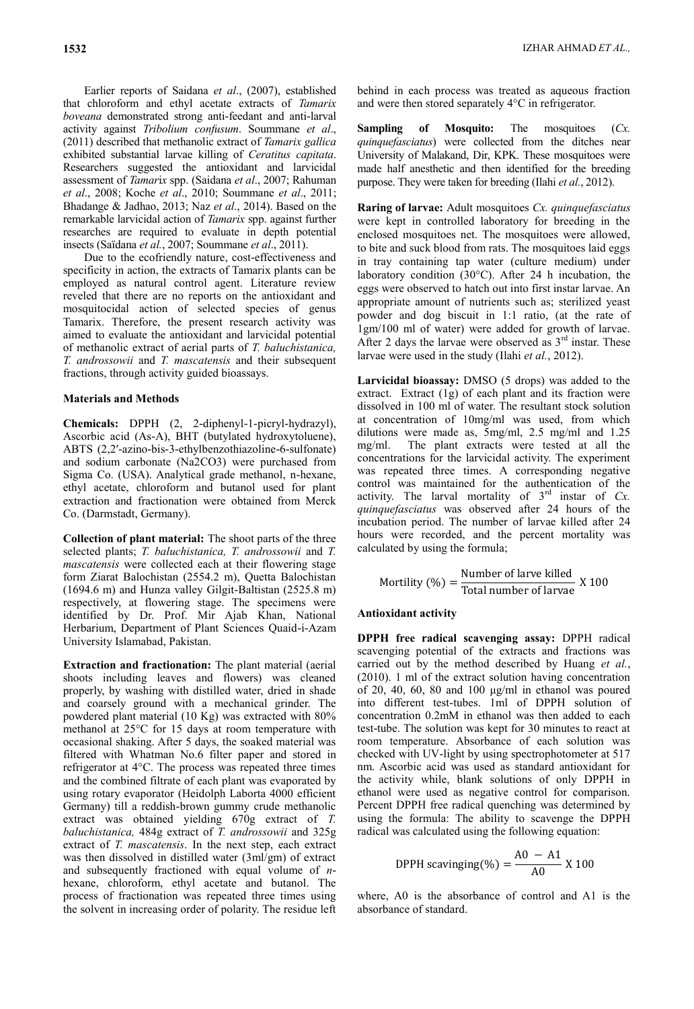exhibited substantial larvae killing of *Ceratitus capitata*. Researchers suggested the antioxidant and larvicidal assessment of *Tamar*i*x* spp. (Saidana *et al*., 2007; Rahuman *et al*., 2008; Koche *et al*., 2010; Soummane *et al*., 2011; Bhadange & Jadhao, 2013; Naz *et al*., 2014). Based on the remarkable larvicidal action of *Tamarix* spp. against further researches are required to evaluate in depth potential insects (Saïdana *et al.*, 2007; Soummane *et al*., 2011).

Due to the ecofriendly nature, cost-effectiveness and specificity in action, the extracts of Tamarix plants can be employed as natural control agent. Literature review reveled that there are no reports on the antioxidant and mosquitocidal action of selected species of genus Tamarix. Therefore, the present research activity was aimed to evaluate the antioxidant and larvicidal potential of methanolic extract of aerial parts of *T. baluchistanica, T. androssowii* and *T. mascatensis* and their subsequent fractions, through activity guided bioassays.

## **Materials and Methods**

**Chemicals:** DPPH (2, 2-diphenyl-1-picryl-hydrazyl), Ascorbic acid (As-A), BHT (butylated hydroxytoluene), ABTS (2,2′-azino-bis-3-ethylbenzothiazoline-6-sulfonate) and sodium carbonate (Na2CO3) were purchased from Sigma Co. (USA). Analytical grade methanol, n-hexane, ethyl acetate, chloroform and butanol used for plant extraction and fractionation were obtained from Merck Co. (Darmstadt, Germany).

**Collection of plant material:** The shoot parts of the three selected plants; *T. baluchistanica, T. androssowii* and *T. mascatensis* were collected each at their flowering stage form Ziarat Balochistan (2554.2 m), Quetta Balochistan (1694.6 m) and Hunza valley Gilgit-Baltistan (2525.8 m) respectively, at flowering stage. The specimens were identified by Dr. Prof. Mir Ajab Khan, National Herbarium, Department of Plant Sciences Quaid-i-Azam University Islamabad, Pakistan.

**Extraction and fractionation:** The plant material (aerial shoots including leaves and flowers) was cleaned properly, by washing with distilled water, dried in shade and coarsely ground with a mechanical grinder. The powdered plant material (10 Kg) was extracted with 80% methanol at 25°C for 15 days at room temperature with occasional shaking. After 5 days, the soaked material was filtered with Whatman No.6 filter paper and stored in refrigerator at 4°C. The process was repeated three times and the combined filtrate of each plant was evaporated by using rotary evaporator (Heidolph Laborta 4000 efficient Germany) till a reddish-brown gummy crude methanolic extract was obtained yielding 670g extract of *T. baluchistanica,* 484g extract of *T. androssowii* and 325g extract of *T. mascatensis*. In the next step, each extract was then dissolved in distilled water (3ml/gm) of extract and subsequently fractioned with equal volume of *n*hexane, chloroform, ethyl acetate and butanol. The process of fractionation was repeated three times using the solvent in increasing order of polarity. The residue left

behind in each process was treated as aqueous fraction and were then stored separately 4°C in refrigerator.

**Sampling of Mosquito:** The mosquitoes (*Cx. quinquefasciatus*) were collected from the ditches near University of Malakand, Dir, KPK. These mosquitoes were made half anesthetic and then identified for the breeding purpose. They were taken for breeding (Ilahi *et al.*, 2012).

**Raring of larvae:** Adult mosquitoes *Cx. quinquefasciatus* were kept in controlled laboratory for breeding in the enclosed mosquitoes net. The mosquitoes were allowed, to bite and suck blood from rats. The mosquitoes laid eggs in tray containing tap water (culture medium) under laboratory condition (30°C). After 24 h incubation, the eggs were observed to hatch out into first instar larvae. An appropriate amount of nutrients such as; sterilized yeast powder and dog biscuit in 1:1 ratio, (at the rate of 1gm/100 ml of water) were added for growth of larvae. After 2 days the larvae were observed as  $3<sup>rd</sup>$  instar. These larvae were used in the study (Ilahi *et al.*, 2012).

**Larvicidal bioassay:** DMSO (5 drops) was added to the extract. Extract (1g) of each plant and its fraction were dissolved in 100 ml of water. The resultant stock solution at concentration of 10mg/ml was used, from which dilutions were made as, 5mg/ml, 2.5 mg/ml and 1.25 mg/ml. The plant extracts were tested at all the concentrations for the larvicidal activity. The experiment was repeated three times. A corresponding negative control was maintained for the authentication of the activity. The larval mortality of 3rd instar of *Cx. quinquefasciatus* was observed after 24 hours of the incubation period. The number of larvae killed after 24 hours were recorded, and the percent mortality was calculated by using the formula;

Mortility (
$$
\%
$$
) =  $\frac{\text{Number of larvae killed}}{\text{Total number of larvae}} \times 100$ 

#### **Antioxidant activity**

**DPPH free radical scavenging assay:** DPPH radical scavenging potential of the extracts and fractions was carried out by the method described by Huang *et al.*, (2010). 1 ml of the extract solution having concentration of 20, 40, 60, 80 and 100 μg/ml in ethanol was poured into different test-tubes. 1ml of DPPH solution of concentration 0.2mM in ethanol was then added to each test-tube. The solution was kept for 30 minutes to react at room temperature. Absorbance of each solution was checked with UV-light by using spectrophotometer at 517 nm. Ascorbic acid was used as standard antioxidant for the activity while, blank solutions of only DPPH in ethanol were used as negative control for comparison. Percent DPPH free radical quenching was determined by using the formula: The ability to scavenge the DPPH radical was calculated using the following equation:

$$
\text{DPPH scanning}(\%) = \frac{\text{A0} - \text{A1}}{\text{A0}} \times 100
$$

where, A0 is the absorbance of control and A1 is the absorbance of standard.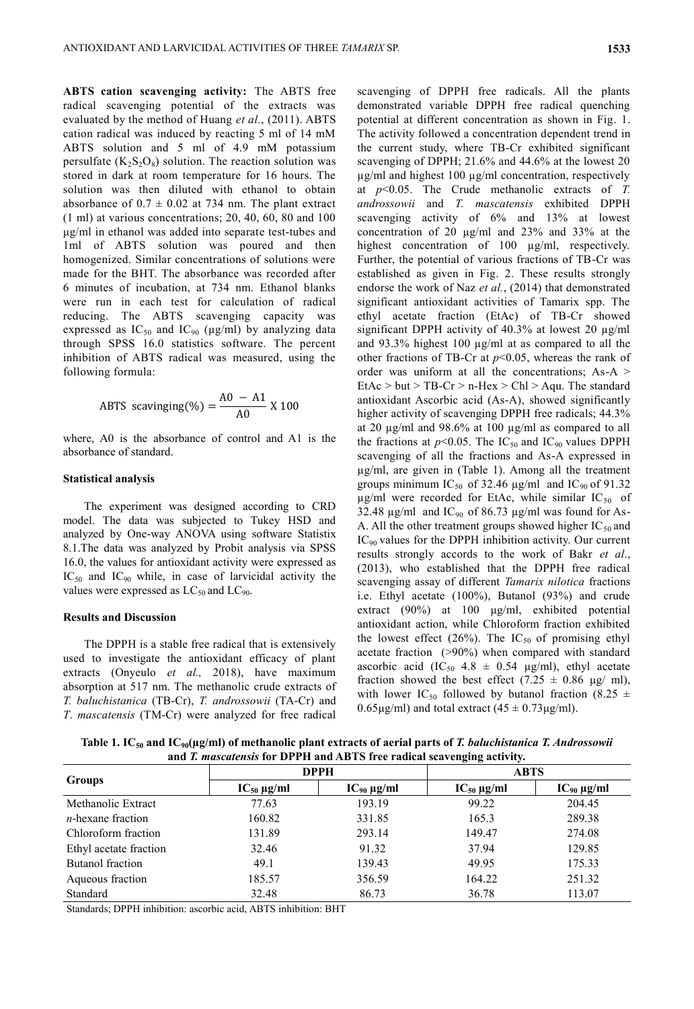**ABTS cation scavenging activity:** The ABTS free radical scavenging potential of the extracts was evaluated by the method of Huang *et al.*, (2011). ABTS cation radical was induced by reacting 5 ml of 14 mM ABTS solution and 5 ml of 4.9 mM potassium persulfate  $(K_2S_2O_8)$  solution. The reaction solution was stored in dark at room temperature for 16 hours. The solution was then diluted with ethanol to obtain absorbance of  $0.7 \pm 0.02$  at 734 nm. The plant extract (1 ml) at various concentrations; 20, 40, 60, 80 and 100 μg/ml in ethanol was added into separate test-tubes and 1ml of ABTS solution was poured and then homogenized. Similar concentrations of solutions were made for the BHT. The absorbance was recorded after 6 minutes of incubation, at 734 nm. Ethanol blanks were run in each test for calculation of radical reducing. The ABTS scavenging capacity was expressed as  $IC_{50}$  and  $IC_{90}$  ( $\mu$ g/ml) by analyzing data through SPSS 16.0 statistics software. The percent inhibition of ABTS radical was measured, using the following formula:

ABTS scanning (%) = 
$$
\frac{A0 - A1}{A0} \times 100
$$

where, A0 is the absorbance of control and A1 is the absorbance of standard.

### **Statistical analysis**

The experiment was designed according to CRD model. The data was subjected to Tukey HSD and analyzed by One-way ANOVA using software Statistix 8.1.The data was analyzed by Probit analysis via SPSS 16.0, the values for antioxidant activity were expressed as  $IC_{50}$  and  $IC_{90}$  while, in case of larvicidal activity the values were expressed as  $LC_{50}$  and  $LC_{90}$ .

## **Results and Discussion**

The DPPH is a stable free radical that is extensively used to investigate the antioxidant efficacy of plant extracts (Onyeulo *et al.,* 2018), have maximum absorption at 517 nm. The methanolic crude extracts of *T. baluchistanica* (TB-Cr), *T. androssowii* (TA-Cr) and *T*. *mascatensis* (TM-Cr) were analyzed for free radical

scavenging of DPPH free radicals. All the plants demonstrated variable DPPH free radical quenching potential at different concentration as shown in Fig. 1. The activity followed a concentration dependent trend in the current study, where TB-Cr exhibited significant scavenging of DPPH; 21.6% and 44.6% at the lowest 20 µg/ml and highest 100 µg/ml concentration, respectively at *p*<0.05. The Crude methanolic extracts of *T. androssowii* and *T. mascatensis* exhibited DPPH scavenging activity of 6% and 13% at lowest concentration of 20 µg/ml and 23% and 33% at the highest concentration of 100 µg/ml, respectively. Further, the potential of various fractions of TB-Cr was established as given in Fig. 2. These results strongly endorse the work of Naz *et al.*, (2014) that demonstrated significant antioxidant activities of Tamarix spp. The ethyl acetate fraction (EtAc) of TB-Cr showed significant DPPH activity of 40.3% at lowest 20 µg/ml and 93.3% highest 100 µg/ml at as compared to all the other fractions of TB-Cr at *p*<0.05, whereas the rank of order was uniform at all the concentrations; As-A > EtAc > but > TB-Cr > n-Hex > Chl > Aqu. The standard antioxidant Ascorbic acid (As-A), showed significantly higher activity of scavenging DPPH free radicals; 44.3% at 20 µg/ml and 98.6% at 100 µg/ml as compared to all the fractions at  $p<0.05$ . The IC<sub>50</sub> and IC<sub>90</sub> values DPPH scavenging of all the fractions and As-A expressed in µg/ml, are given in (Table 1). Among all the treatment groups minimum IC<sub>50</sub> of 32.46  $\mu$ g/ml and IC<sub>90</sub> of 91.32  $\mu$ g/ml were recorded for EtAc, while similar IC<sub>50</sub> of 32.48  $\mu$ g/ml and IC<sub>90</sub> of 86.73  $\mu$ g/ml was found for As-A. All the other treatment groups showed higher  $IC_{50}$  and IC90 values for the DPPH inhibition activity. Our current results strongly accords to the work of Bakr *et al*., (2013), who established that the DPPH free radical scavenging assay of different *Tamarix nilotica* fractions i.e. Ethyl acetate (100%), Butanol (93%) and crude extract (90%) at 100 μg/ml, exhibited potential antioxidant action, while Chloroform fraction exhibited the lowest effect (26%). The  $IC_{50}$  of promising ethyl acetate fraction (>90%) when compared with standard ascorbic acid (IC<sub>50</sub> 4.8  $\pm$  0.54 μg/ml), ethyl acetate fraction showed the best effect (7.25  $\pm$  0.86 µg/ ml), with lower IC<sub>50</sub> followed by butanol fraction (8.25  $\pm$  $0.65\mu\text{g/ml}$ ) and total extract  $(45 \pm 0.73\mu\text{g/ml})$ .

**Table 1. IC<sup>50</sup> and IC90(µg/ml) of methanolic plant extracts of aerial parts of** *T. baluchistanica T. Androssowii*  **and** *T. mascatensis* **for DPPH and ABTS free radical scavenging activity.**

|                        |                    |                    | $\circ$ $\circ$    |                    |
|------------------------|--------------------|--------------------|--------------------|--------------------|
|                        | <b>DPPH</b>        |                    | <b>ABTS</b>        |                    |
| <b>Groups</b>          | $IC_{50} \mu g/ml$ | $IC_{90} \mu g/ml$ | $IC_{50} \mu g/ml$ | $IC_{90} \mu g/ml$ |
| Methanolic Extract     | 77.63              | 193.19             | 99.22              | 204.45             |
| $n$ -hexane fraction   | 160.82             | 331.85             | 165.3              | 289.38             |
| Chloroform fraction    | 131.89             | 293.14             | 149.47             | 274.08             |
| Ethyl acetate fraction | 32.46              | 91.32              | 37.94              | 129.85             |
| Butanol fraction       | 49.1               | 139.43             | 49.95              | 175.33             |
| Aqueous fraction       | 185.57             | 356.59             | 164.22             | 251.32             |
| Standard               | 32.48              | 86.73              | 36.78              | 113.07             |

Standards; DPPH inhibition: ascorbic acid, ABTS inhibition: BHT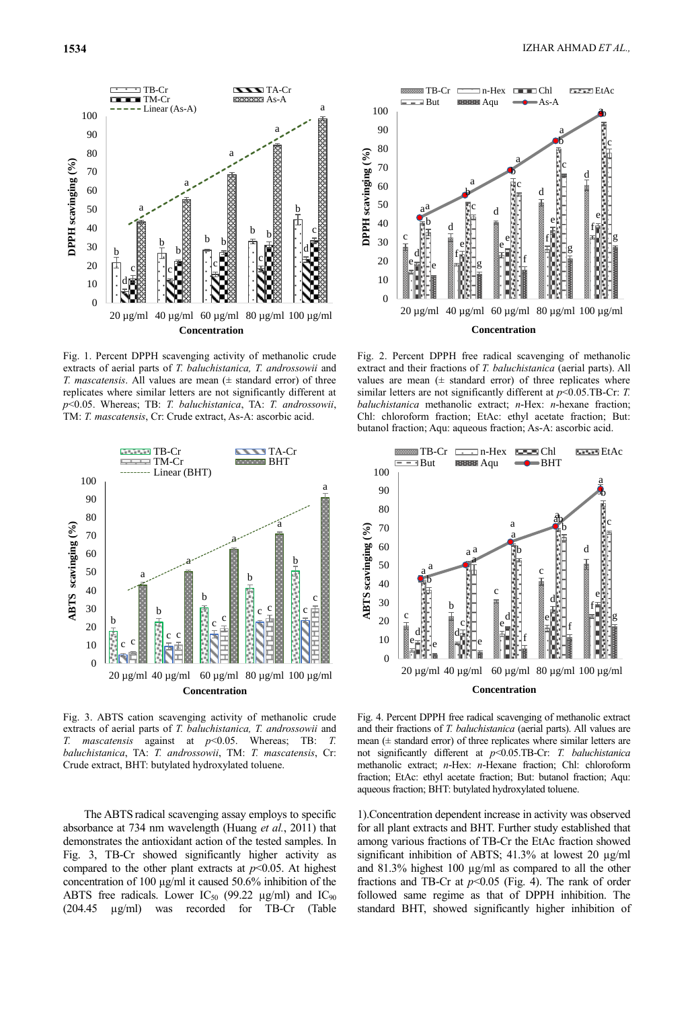

Fig. 1. Percent DPPH scavenging activity of methanolic crude extracts of aerial parts of *T. baluchistanica, T. androssowii* and *T. mascatensis*. All values are mean (± standard error) of three replicates where similar letters are not significantly different at *p*<0.05. Whereas; TB: *T. baluchistanica*, TA: *T. androssowii*, TM: *T. mascatensis*, Cr: Crude extract, As-A: ascorbic acid.



Fig. 3. ABTS cation scavenging activity of methanolic crude extracts of aerial parts of *T. baluchistanica, T. androssowii* and *T. mascatensis* against at *p*<0.05. Whereas; TB: *T. baluchistanica*, TA: *T. androssowii*, TM: *T. mascatensis*, Cr: Crude extract, BHT: butylated hydroxylated toluene.

The ABTS radical scavenging assay employs to specific absorbance at 734 nm wavelength (Huang *et al.*, 2011) that demonstrates the antioxidant action of the tested samples. In Fig. 3, TB-Cr showed significantly higher activity as compared to the other plant extracts at  $p<0.05$ . At highest concentration of 100 μg/ml it caused 50.6% inhibition of the ABTS free radicals. Lower IC<sub>50</sub> (99.22  $\mu$ g/ml) and IC<sub>90</sub> (204.45 µg/ml) was recorded for TB-Cr (Table



Fig. 2. Percent DPPH free radical scavenging of methanolic extract and their fractions of *T. baluchistanica* (aerial parts). All values are mean  $(±$  standard error) of three replicates where similar letters are not significantly different at *p*<0.05.TB-Cr: *T. baluchistanica* methanolic extract; *n*-Hex: *n*-hexane fraction; Chl: chloroform fraction; EtAc: ethyl acetate fraction; But: butanol fraction; Aqu: aqueous fraction; As-A: ascorbic acid.



Fig. 4. Percent DPPH free radical scavenging of methanolic extract and their fractions of *T. baluchistanica* (aerial parts). All values are mean (± standard error) of three replicates where similar letters are not significantly different at *p*<0.05.TB-Cr: *T. baluchistanica*  methanolic extract; *n*-Hex: *n*-Hexane fraction; Chl: chloroform fraction; EtAc: ethyl acetate fraction; But: butanol fraction; Aqu: aqueous fraction; BHT: butylated hydroxylated toluene.

1).Concentration dependent increase in activity was observed for all plant extracts and BHT. Further study established that among various fractions of TB-Cr the EtAc fraction showed significant inhibition of ABTS; 41.3% at lowest 20  $\mu$ g/ml and 81.3% highest 100 µg/ml as compared to all the other fractions and TB-Cr at *p*<0.05 (Fig. 4). The rank of order followed same regime as that of DPPH inhibition. The standard BHT, showed significantly higher inhibition of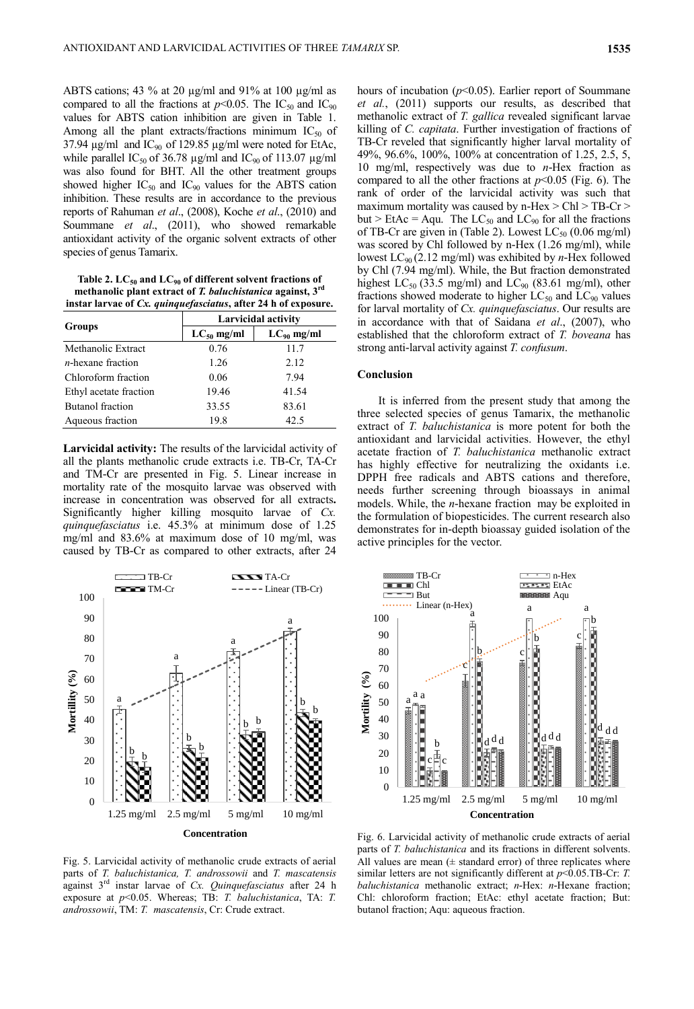ABTS cations; 43 % at 20 µg/ml and 91% at 100 µg/ml as compared to all the fractions at  $p<0.05$ . The IC<sub>50</sub> and IC<sub>90</sub> values for ABTS cation inhibition are given in Table 1. Among all the plant extracts/fractions minimum  $IC_{50}$  of 37.94  $\mu$ g/ml and IC<sub>90</sub> of 129.85  $\mu$ g/ml were noted for EtAc, while parallel IC<sub>50</sub> of 36.78  $\mu$ g/ml and IC<sub>90</sub> of 113.07  $\mu$ g/ml was also found for BHT. All the other treatment groups showed higher  $IC_{50}$  and  $IC_{90}$  values for the ABTS cation inhibition. These results are in accordance to the previous reports of Rahuman *et al*., (2008), Koche *et al*., (2010) and Soummane *et al*., (2011), who showed remarkable antioxidant activity of the organic solvent extracts of other species of genus Tamarix.

**Table 2. LC<sup>50</sup> and LC<sup>90</sup> of different solvent fractions of methanolic plant extract of** *T. baluchistanica* **against, 3rd instar larvae of** *Cx. quinquefasciatus***, after 24 h of exposure.**

|                         | <b>Larvicidal activity</b> |                 |  |
|-------------------------|----------------------------|-----------------|--|
| <b>Groups</b>           | $LC_{50}$ mg/ml            | $LC_{90}$ mg/ml |  |
| Methanolic Extract      | 0.76                       | 11.7            |  |
| $n$ -hexane fraction    | 1.26                       | 2.12            |  |
| Chloroform fraction     | 0.06                       | 7.94            |  |
| Ethyl acetate fraction  | 19.46                      | 41.54           |  |
| <b>Butanol</b> fraction | 33.55                      | 83.61           |  |
| Aqueous fraction        | 19.8                       | 42.5            |  |

**Larvicidal activity:** The results of the larvicidal activity of all the plants methanolic crude extracts i.e. TB-Cr, TA-Cr and TM-Cr are presented in Fig. 5. Linear increase in mortality rate of the mosquito larvae was observed with increase in concentration was observed for all extracts**.**  Significantly higher killing mosquito larvae of *Cx. quinquefasciatus* i.e. 45.3% at minimum dose of 1.25 mg/ml and 83.6% at maximum dose of 10 mg/ml, was caused by TB-Cr as compared to other extracts, after 24



Fig. 5. Larvicidal activity of methanolic crude extracts of aerial parts of *T. baluchistanica, T. androssowii* and *T. mascatensis* against 3rd instar larvae of *Cx. Quinquefasciatus* after 24 h exposure at *p*<0.05. Whereas; TB: *T. baluchistanica*, TA: *T. androssowii*, TM: *T. mascatensis*, Cr: Crude extract.

hours of incubation (*p*<0.05). Earlier report of Soummane *et al.*, (2011) supports our results, as described that methanolic extract of *T. gallica* revealed significant larvae killing of *C. capitata*. Further investigation of fractions of TB-Cr reveled that significantly higher larval mortality of 49%, 96.6%, 100%, 100% at concentration of 1.25, 2.5, 5, 10 mg/ml, respectively was due to *n*-Hex fraction as compared to all the other fractions at *p*<0.05 (Fig. 6). The rank of order of the larvicidal activity was such that maximum mortality was caused by n-Hex > Chl > TB-Cr > but > EtAc = Aqu. The  $LC_{50}$  and  $LC_{90}$  for all the fractions of TB-Cr are given in (Table 2). Lowest  $LC_{50}$  (0.06 mg/ml) was scored by Chl followed by n-Hex (1.26 mg/ml), while lowest LC90 (2.12 mg/ml) was exhibited by *n*-Hex followed by Chl (7.94 mg/ml). While, the But fraction demonstrated highest  $LC_{50}$  (33.5 mg/ml) and  $LC_{90}$  (83.61 mg/ml), other fractions showed moderate to higher  $LC_{50}$  and  $LC_{90}$  values for larval mortality of *Cx. quinquefasciatus*. Our results are in accordance with that of Saidana *et al*., (2007), who established that the chloroform extract of *T. boveana* has strong anti-larval activity against *T. confusum*.

#### **Conclusion**

It is inferred from the present study that among the three selected species of genus Tamarix, the methanolic extract of *T. baluchistanica* is more potent for both the antioxidant and larvicidal activities. However, the ethyl acetate fraction of *T. baluchistanica* methanolic extract has highly effective for neutralizing the oxidants i.e. DPPH free radicals and ABTS cations and therefore, needs further screening through bioassays in animal models. While, the *n*-hexane fraction may be exploited in the formulation of biopesticides. The current research also demonstrates for in-depth bioassay guided isolation of the active principles for the vector.



Fig. 6. Larvicidal activity of methanolic crude extracts of aerial parts of *T. baluchistanica* and its fractions in different solvents. All values are mean  $(± standard error)$  of three replicates where similar letters are not significantly different at *p*<0.05.TB-Cr: *T. baluchistanica* methanolic extract; *n*-Hex: *n*-Hexane fraction; Chl: chloroform fraction; EtAc: ethyl acetate fraction; But: butanol fraction; Aqu: aqueous fraction.